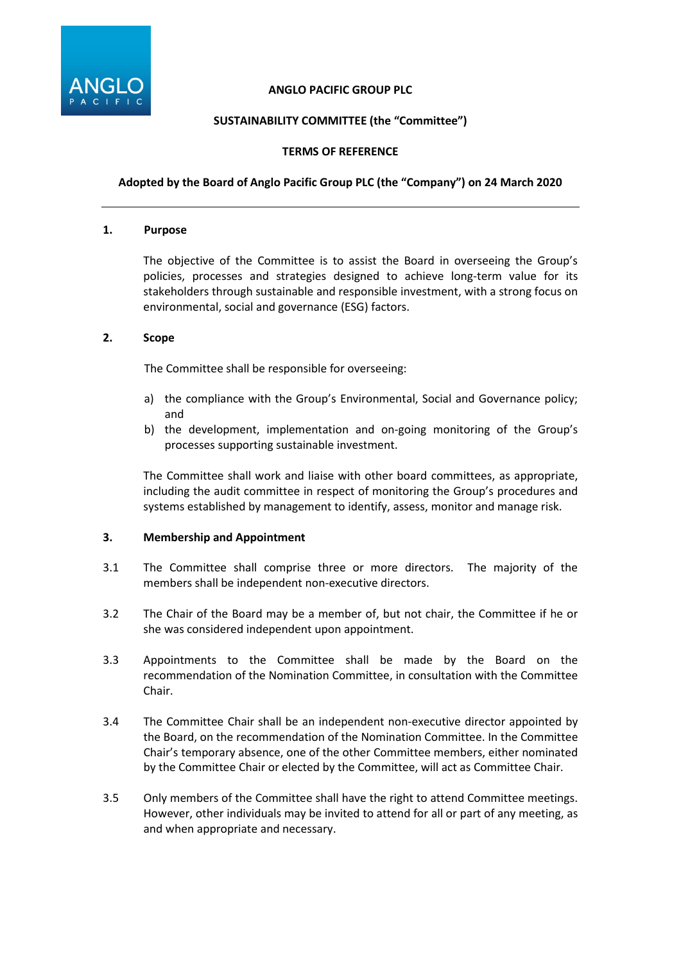

### **ANGLO PACIFIC GROUP PLC**

# **SUSTAINABILITY COMMITTEE (the "Committee")**

### **TERMS OF REFERENCE**

# **Adopted by the Board of Anglo Pacific Group PLC (the "Company") on 24 March 2020**

#### **1. Purpose**

The objective of the Committee is to assist the Board in overseeing the Group's policies, processes and strategies designed to achieve long-term value for its stakeholders through sustainable and responsible investment, with a strong focus on environmental, social and governance (ESG) factors.

### **2. Scope**

The Committee shall be responsible for overseeing:

- a) the compliance with the Group's Environmental, Social and Governance policy; and
- b) the development, implementation and on-going monitoring of the Group's processes supporting sustainable investment.

The Committee shall work and liaise with other board committees, as appropriate, including the audit committee in respect of monitoring the Group's procedures and systems established by management to identify, assess, monitor and manage risk.

### **3. Membership and Appointment**

- 3.1 The Committee shall comprise three or more directors. The majority of the members shall be independent non-executive directors.
- 3.2 The Chair of the Board may be a member of, but not chair, the Committee if he or she was considered independent upon appointment.
- 3.3 Appointments to the Committee shall be made by the Board on the recommendation of the Nomination Committee, in consultation with the Committee Chair.
- 3.4 The Committee Chair shall be an independent non-executive director appointed by the Board, on the recommendation of the Nomination Committee. In the Committee Chair's temporary absence, one of the other Committee members, either nominated by the Committee Chair or elected by the Committee, will act as Committee Chair.
- 3.5 Only members of the Committee shall have the right to attend Committee meetings. However, other individuals may be invited to attend for all or part of any meeting, as and when appropriate and necessary.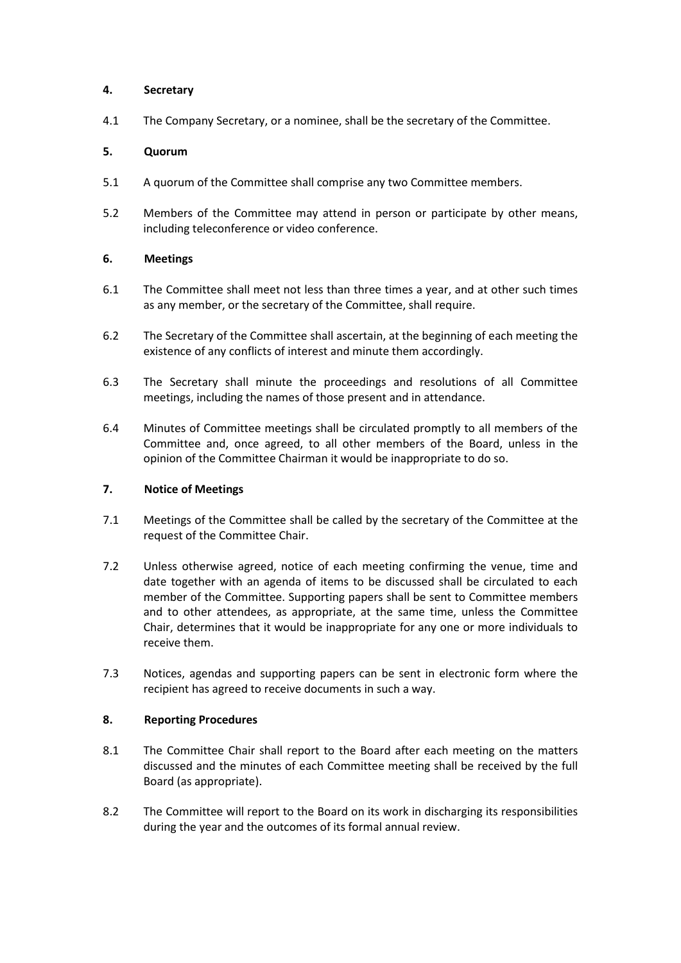### **4. Secretary**

4.1 The Company Secretary, or a nominee, shall be the secretary of the Committee.

### **5. Quorum**

- 5.1 A quorum of the Committee shall comprise any two Committee members.
- 5.2 Members of the Committee may attend in person or participate by other means, including teleconference or video conference.

# **6. Meetings**

- 6.1 The Committee shall meet not less than three times a year, and at other such times as any member, or the secretary of the Committee, shall require.
- 6.2 The Secretary of the Committee shall ascertain, at the beginning of each meeting the existence of any conflicts of interest and minute them accordingly.
- 6.3 The Secretary shall minute the proceedings and resolutions of all Committee meetings, including the names of those present and in attendance.
- 6.4 Minutes of Committee meetings shall be circulated promptly to all members of the Committee and, once agreed, to all other members of the Board, unless in the opinion of the Committee Chairman it would be inappropriate to do so.

### **7. Notice of Meetings**

- 7.1 Meetings of the Committee shall be called by the secretary of the Committee at the request of the Committee Chair.
- 7.2 Unless otherwise agreed, notice of each meeting confirming the venue, time and date together with an agenda of items to be discussed shall be circulated to each member of the Committee. Supporting papers shall be sent to Committee members and to other attendees, as appropriate, at the same time, unless the Committee Chair, determines that it would be inappropriate for any one or more individuals to receive them.
- 7.3 Notices, agendas and supporting papers can be sent in electronic form where the recipient has agreed to receive documents in such a way.

### **8. Reporting Procedures**

- 8.1 The Committee Chair shall report to the Board after each meeting on the matters discussed and the minutes of each Committee meeting shall be received by the full Board (as appropriate).
- 8.2 The Committee will report to the Board on its work in discharging its responsibilities during the year and the outcomes of its formal annual review.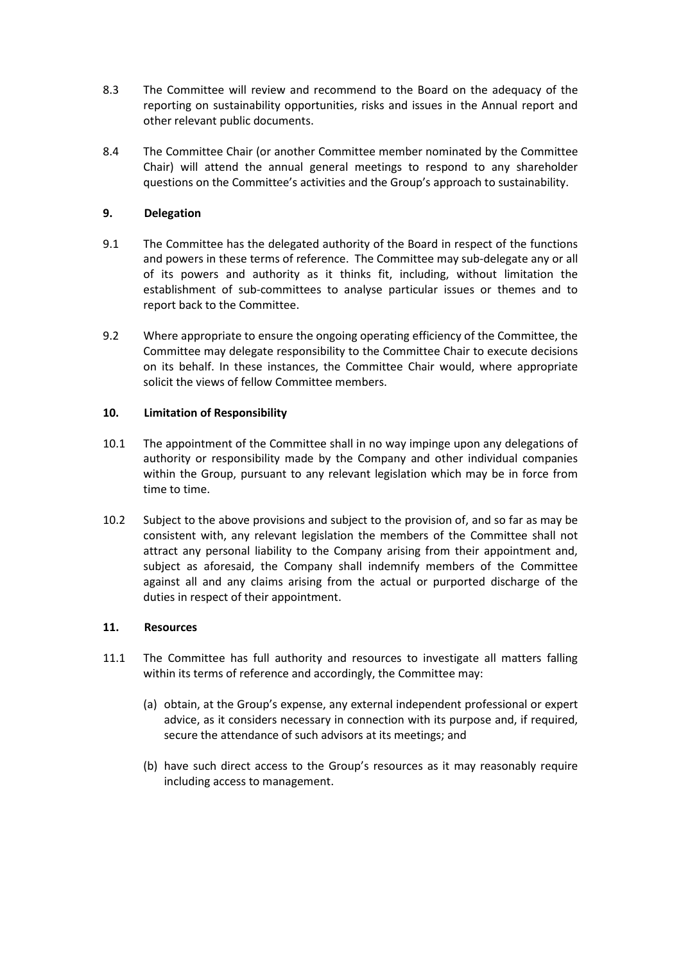- 8.3 The Committee will review and recommend to the Board on the adequacy of the reporting on sustainability opportunities, risks and issues in the Annual report and other relevant public documents.
- 8.4 The Committee Chair (or another Committee member nominated by the Committee Chair) will attend the annual general meetings to respond to any shareholder questions on the Committee's activities and the Group's approach to sustainability.

# **9. Delegation**

- 9.1 The Committee has the delegated authority of the Board in respect of the functions and powers in these terms of reference. The Committee may sub-delegate any or all of its powers and authority as it thinks fit, including, without limitation the establishment of sub-committees to analyse particular issues or themes and to report back to the Committee.
- 9.2 Where appropriate to ensure the ongoing operating efficiency of the Committee, the Committee may delegate responsibility to the Committee Chair to execute decisions on its behalf. In these instances, the Committee Chair would, where appropriate solicit the views of fellow Committee members.

### **10. Limitation of Responsibility**

- 10.1 The appointment of the Committee shall in no way impinge upon any delegations of authority or responsibility made by the Company and other individual companies within the Group, pursuant to any relevant legislation which may be in force from time to time.
- 10.2 Subject to the above provisions and subject to the provision of, and so far as may be consistent with, any relevant legislation the members of the Committee shall not attract any personal liability to the Company arising from their appointment and, subject as aforesaid, the Company shall indemnify members of the Committee against all and any claims arising from the actual or purported discharge of the duties in respect of their appointment.

### **11. Resources**

- 11.1 The Committee has full authority and resources to investigate all matters falling within its terms of reference and accordingly, the Committee may:
	- (a) obtain, at the Group's expense, any external independent professional or expert advice, as it considers necessary in connection with its purpose and, if required, secure the attendance of such advisors at its meetings; and
	- (b) have such direct access to the Group's resources as it may reasonably require including access to management.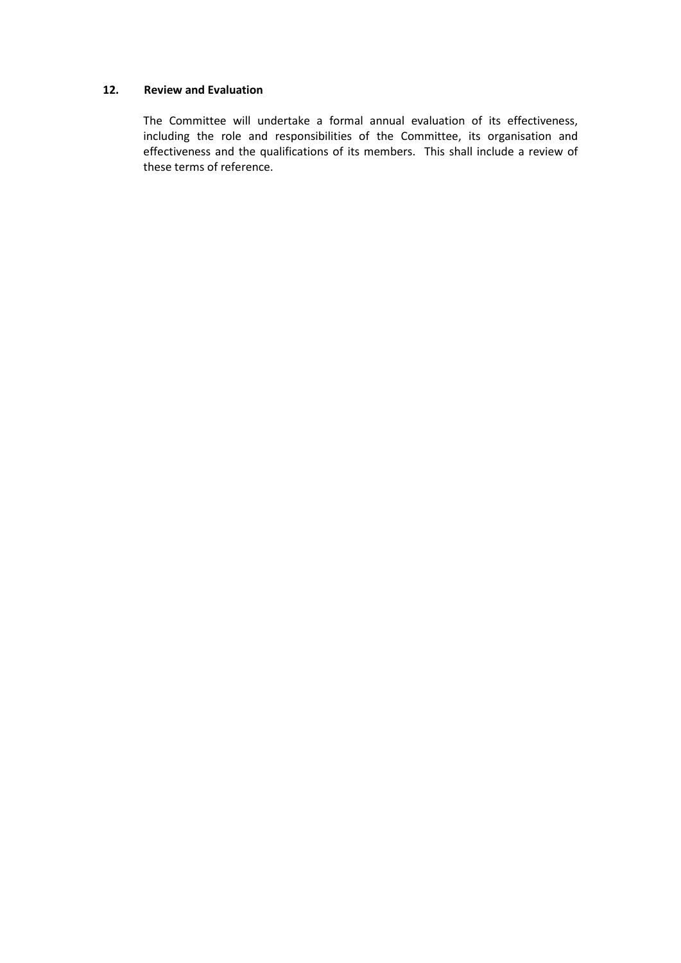#### **12. Review and Evaluation**

The Committee will undertake a formal annual evaluation of its effectiveness, including the role and responsibilities of the Committee, its organisation and effectiveness and the qualifications of its members. This shall include a review of these terms of reference.